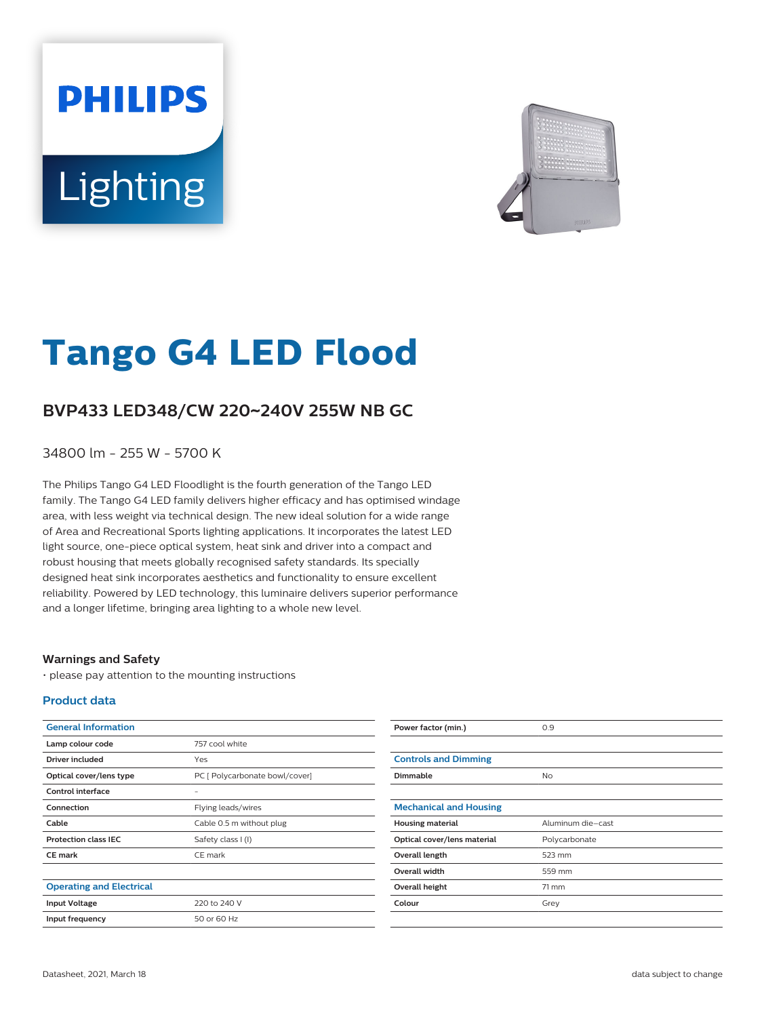# **PHILIPS** Lighting



# **Tango G4 LED Flood**

## **BVP433 LED348/CW 220**~**240V 255W NB GC**

34800 lm - 255 W - 5700 K

The Philips Tango G4 LED Floodlight is the fourth generation of the Tango LED family. The Tango G4 LED family delivers higher efficacy and has optimised windage area, with less weight via technical design. The new ideal solution for a wide range of Area and Recreational Sports lighting applications. It incorporates the latest LED light source, one-piece optical system, heat sink and driver into a compact and robust housing that meets globally recognised safety standards. Its specially designed heat sink incorporates aesthetics and functionality to ensure excellent reliability. Powered by LED technology, this luminaire delivers superior performance and a longer lifetime, bringing area lighting to a whole new level.

#### **Warnings and Safety**

• please pay attention to the mounting instructions

#### **Product data**

| <b>General Information</b>      |                                | Power factor (min.)           | 0.9               |
|---------------------------------|--------------------------------|-------------------------------|-------------------|
| Lamp colour code                | 757 cool white                 |                               |                   |
| <b>Driver included</b>          | Yes                            | <b>Controls and Dimming</b>   |                   |
| Optical cover/lens type         | PC [ Polycarbonate bowl/cover] | <b>Dimmable</b>               | <b>No</b>         |
| <b>Control interface</b>        | $\overline{\phantom{a}}$       |                               |                   |
| Connection                      | Flying leads/wires             | <b>Mechanical and Housing</b> |                   |
| Cable                           | Cable 0.5 m without plug       | <b>Housing material</b>       | Aluminum die-cast |
| <b>Protection class IEC</b>     | Safety class I (I)             | Optical cover/lens material   | Polycarbonate     |
| <b>CE mark</b>                  | CE mark                        | Overall length                | 523 mm            |
|                                 |                                | Overall width                 | 559 mm            |
| <b>Operating and Electrical</b> |                                | Overall height                | $71 \text{ mm}$   |
| <b>Input Voltage</b>            | 220 to 240 V                   | Colour                        | Grey              |
| Input frequency                 | 50 or 60 Hz                    |                               |                   |
|                                 |                                |                               |                   |